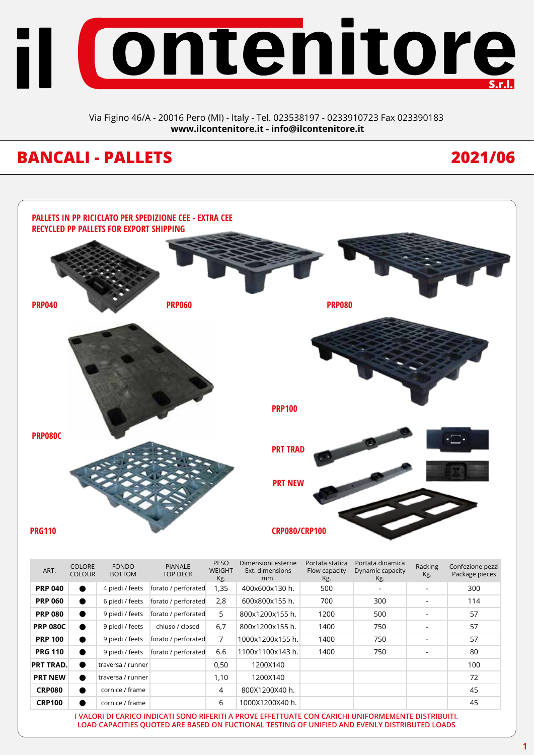

Via Figino 46/A - 20016 Pero (MI) - Italy - Tel. 023538197 - 0233910723 Fax 023390183 **www.ilcontenitore.it - info@ilcontenitore.it**

# **BANCALI - PALLETS 2021/06**



| ART.             | <b>COLORE</b><br><b>COLOUR</b> | <b>FONDO</b><br><b>BOTTOM</b> | <b>PIANALE</b><br>TOP DECK | .<br><b>WEIGHT</b><br>Kg. | סווופוסיטווו כסנכוווכ<br>Ext. dimensions<br>mm.                                                           | Flow capacity<br>Kg. | - 91 Gaga Gillandi<br>Dynamic capacity<br>Kg. | Racking<br>Kg. | Confezione pezzi<br>Package pieces |
|------------------|--------------------------------|-------------------------------|----------------------------|---------------------------|-----------------------------------------------------------------------------------------------------------|----------------------|-----------------------------------------------|----------------|------------------------------------|
| <b>PRP 040</b>   | $\bullet$                      | 4 piedi / feets               | forato / perforated        | 1,35                      | 400x600x130 h.                                                                                            | 500                  |                                               |                | 300                                |
| <b>PRP 060</b>   | $\bullet$                      | 6 piedi / feets               | forato / perforated        | 2,8                       | 600x800x155 h.                                                                                            | 700                  | 300                                           |                | 114                                |
| <b>PRP 080</b>   | $\bullet$                      | 9 piedi / feets               | forato / perforated        | 5                         | 800x1200x155 h.                                                                                           | 1200                 | 500                                           |                | 57                                 |
| <b>PRP 080C</b>  | $\bullet$                      | 9 piedi / feets               | chiuso / closed            | 6,7                       | 800x1200x155 h.                                                                                           | 1400                 | 750                                           |                | 57                                 |
| <b>PRP 100</b>   | $\bullet$                      | 9 piedi / feets               | forato / perforated        | 7                         | 1000x1200x155 h.                                                                                          | 1400                 | 750                                           |                | 57                                 |
| <b>PRG 110</b>   | $\bullet$                      | 9 piedi / feets               | forato / perforated        | 6.6                       | 1100x1100x143 h.                                                                                          | 1400                 | 750                                           | ۰              | 80                                 |
| <b>PRT TRAD.</b> | $\bullet$                      | traversa / runner             |                            | 0,50                      | 1200X140                                                                                                  |                      |                                               |                | 100                                |
| <b>PRT NEW</b>   | $\bullet$                      | traversa / runner             |                            | 1,10                      | 1200X140                                                                                                  |                      |                                               |                | 72                                 |
| <b>CRP080</b>    | $\bullet$                      | cornice / frame               |                            | 4                         | 800X1200X40 h.                                                                                            |                      |                                               |                | 45                                 |
| <b>CRP100</b>    | $\bullet$                      | cornice / frame               |                            | 6                         | 1000X1200X40 h.                                                                                           |                      |                                               |                | 45                                 |
|                  |                                |                               |                            |                           | TUALONI NI CANICO ININICATI CONIO NIFENITI A NNOVE EFFETTIJATE CONI CANICULI INIIEONALEMENTE NICTNINI UTI |                      |                                               |                |                                    |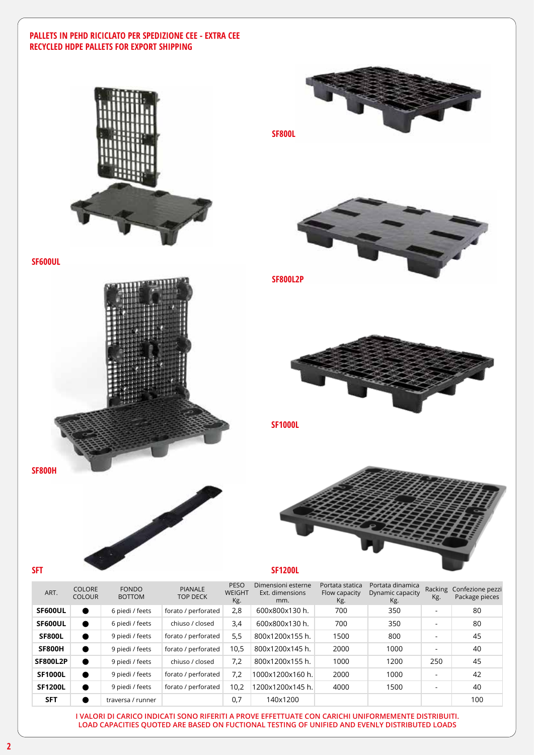## **PALLETS IN PEHD RICICLATO PER SPEDIZIONE CEE - EXTRA CEE RECYCLED HDPE PALLETS FOR EXPORT SHIPPING**



**SF800L SF1000L SF800L2P**



**SF600UL**





ART. COLORE COLOUR FONDO BOTTOM PIANALE TOP DECK PESO WEIGHT Kg. Dimensioni esterne Ext. dimensions mm. Portata statica Flow capacity Kg. Portata dinamica Dynamic capacity Kg. Racking Confezione pezzi Kg. Package pieces **SF600UL C** 6 piedi / feets forato / perforated 2,8 600x800x130 h. 700 350 - 80 **SF600UL** Copiedi / feets chiuso / closed 3,4 600x800x130 h. 700 350 - 80 **SF800L**  $\bullet$  9 piedi / feets forato / perforated 5,5 800x1200x155 h. 1500 800 - 45 **SF800H**  $\bullet$  9 piedi / feets forato / perforated 10,5 800x1200x145 h. 2000 1000 - 40 **SF800L2P @** 9 piedi / feets chiuso / closed 7,2 800x1200x155 h. 1000 1200 250 45 **SF1000L** 9 piedi / feets forato / perforated 7,2 1000x1200x160 h. 2000 1000 - 42 **SF1200L** 9 piedi / feets forato / perforated 10,2 1200x1200x145 h. 4000 1500 - 40 **SFT d** traversa / runner 0,7 140x1200 1000 1000 100

**I VALORI DI CARICO INDICATI SONO RIFERITI A PROVE EFFETTUATE CON CARICHI UNIFORMEMENTE DISTRIBUITI. LOAD CAPACITIES QUOTED ARE BASED ON FUCTIONAL TESTING OF UNIFIED AND EVENLY DISTRIBUTED LOADS**

**SFT**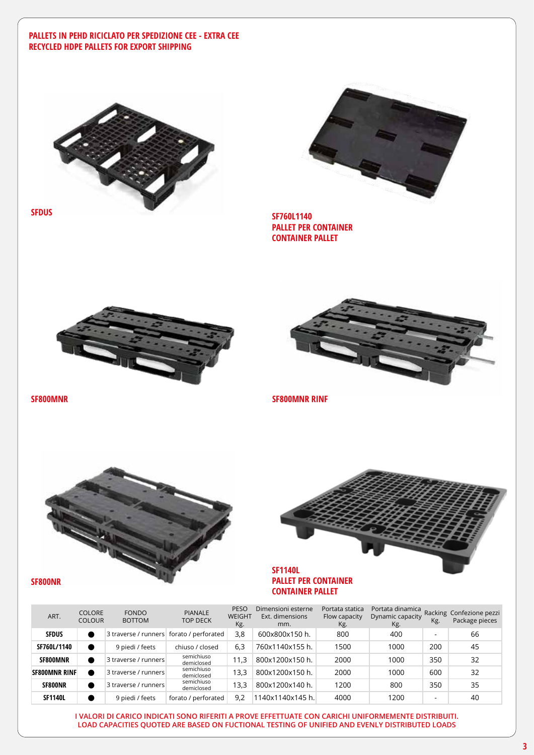### **PALLETS IN PEHD RICICLATO PER SPEDIZIONE CEE - EXTRA CEE RECYCLED HDPE PALLETS FOR EXPORT SHIPPING**



**SFDUS**



**SF760L1140 PALLET PER CONTAINER CONTAINER PALLET**





**SF800MNR SF800MNR RINF**



**SF800NR**



**PALLET PER CONTAINER CONTAINER PALLET**

| ART.           | <b>COLORE</b><br><b>COLOUR</b> | <b>FONDO</b><br><b>BOTTOM</b>            | <b>PIANALE</b><br><b>TOP DECK</b> | <b>PESO</b><br>WEIGHT<br>Kg. | Dimensioni esterne<br>Ext. dimensions<br>mm. | Portata statica<br>Flow capacity<br>Kg. | Portata dinamica<br>Dynamic capacity<br>Kg. | Kg. | Racking Confezione pezzi<br>Package pieces |
|----------------|--------------------------------|------------------------------------------|-----------------------------------|------------------------------|----------------------------------------------|-----------------------------------------|---------------------------------------------|-----|--------------------------------------------|
| <b>SFDUS</b>   |                                | 3 traverse / runners forato / perforated |                                   | 3,8                          | 600x800x150 h.                               | 800                                     | 400                                         |     | 66                                         |
| SF760L/1140    |                                | 9 piedi / feets                          | chiuso / closed                   | 6,3                          | 760x1140x155 h.                              | 1500                                    | 1000                                        | 200 | 45                                         |
| SF800MNR       |                                | 3 traverse / runners                     | semichiuso<br>demiclosed          | 11,3                         | 800x1200x150 h.                              | 2000                                    | 1000                                        | 350 | 32                                         |
| SF800MNR RINF  |                                | 3 traverse / runners                     | semichiuso<br>demiclosed          | 13.3                         | 800x1200x150 h.                              | 2000                                    | 1000                                        | 600 | 32                                         |
| SF800NR        |                                | 3 traverse / runners                     | semichiuso<br>demiclosed          | 13,3                         | 800x1200x140 h.                              | 1200                                    | 800                                         | 350 | 35                                         |
| <b>SF1140L</b> |                                | 9 piedi / feets                          | forato / perforated               | 9.2                          | 1140x1140x145 h.l                            | 4000                                    | 1200                                        | -   | 40                                         |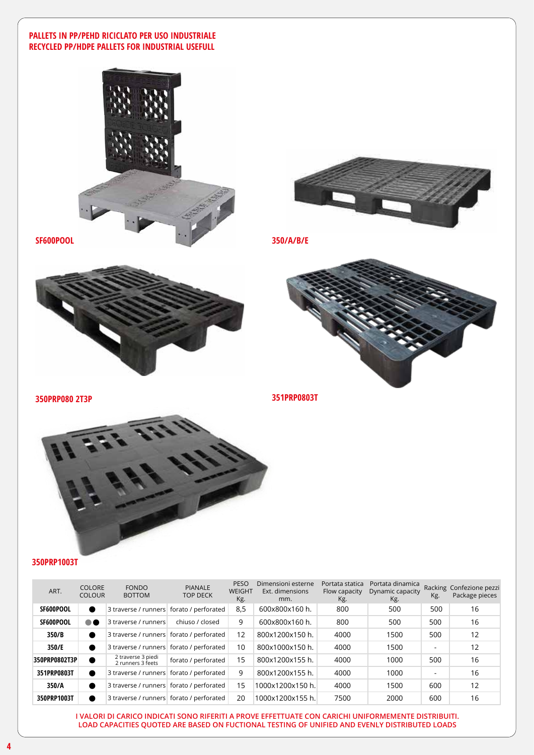### **PALLETS IN PP/PEHD RICICLATO PER USO INDUSTRIALE RECYCLED PP/HDPE PALLETS FOR INDUSTRIAL USEFULL**









**350PRP080 2T3P**

**351PRP0803T**



### **350PRP1003T**

| ART.          | <b>COLORE</b><br><b>COLOUR</b> | <b>FONDO</b><br><b>BOTTOM</b>              | <b>PIANALE</b><br><b>TOP DECK</b> | <b>PESO</b><br>WEIGHT<br>Kg. | Dimensioni esterne<br>Ext. dimensions<br>mm. | Portata statica<br>Flow capacity<br>Kg. | Portata dinamica<br>Dynamic capacity<br>Kg. | Kg. | Racking Confezione pezzi<br>Package pieces |
|---------------|--------------------------------|--------------------------------------------|-----------------------------------|------------------------------|----------------------------------------------|-----------------------------------------|---------------------------------------------|-----|--------------------------------------------|
| SF600POOL     |                                | 3 traverse / runners   forato / perforated |                                   | 8,5                          | 600x800x160 h.                               | 800                                     | 500                                         | 500 | 16                                         |
| SF600POOL     | $\bullet$ $\bullet$            | 3 traverse / runners                       | chiuso / closed                   | 9                            | 600x800x160 h.                               | 800                                     | 500                                         | 500 | 16                                         |
| 350/B         |                                | 3 traverse / runners   forato / perforated |                                   | 12                           | 800x1200x150 h.                              | 4000                                    | 1500                                        | 500 | 12                                         |
| 350/E         |                                | 3 traverse / runners forato / perforated   |                                   | 10                           | 800x1000x150 h.                              | 4000                                    | 1500                                        | ۰   | 12                                         |
| 350PRP0802T3P |                                | 2 traverse 3 piedi<br>2 runners 3 feets    | forato / perforated               | 15                           | 800x1200x155 h.                              | 4000                                    | 1000                                        | 500 | 16                                         |
| 351PRP0803T   | ●                              | 3 traverse / runners   forato / perforated |                                   | 9                            | 800x1200x155 h.                              | 4000                                    | 1000                                        | ۰   | 16                                         |
| 350/A         |                                | 3 traverse / runners forato / perforated   |                                   | 15                           | 1000x1200x150 h.                             | 4000                                    | 1500                                        | 600 | 12                                         |
| 350PRP1003T   |                                | 3 traverse / runners forato / perforated   |                                   | 20                           | 1000x1200x155 h.                             | 7500                                    | 2000                                        | 600 | 16                                         |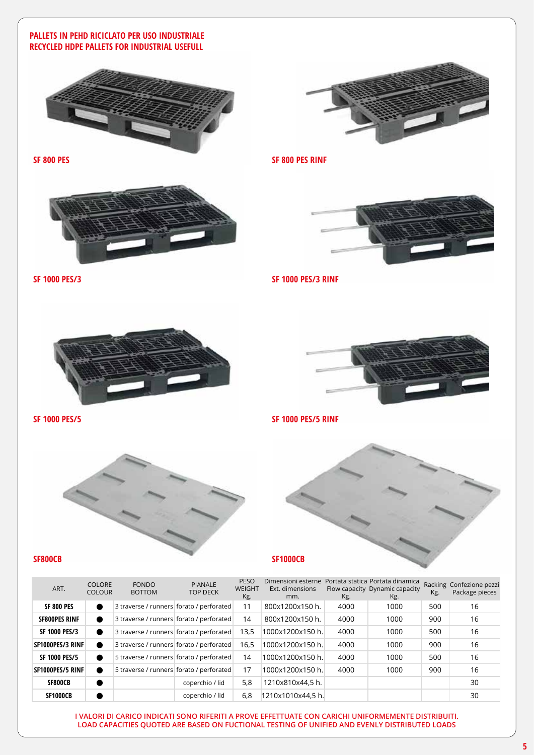# **PALLETS IN PEHD RICICLATO PER USO INDUSTRIALE RECYCLED HDPE PALLETS FOR INDUSTRIAL USEFULL**







**SF 1000 PES/3 SF 1000 PES/3 RINF**





**SF 1000 PES/5 SF 1000 PES/5 RINF**



| ART.                 | <b>COLORE</b><br><b>COLOUR</b> | <b>FONDO</b><br><b>BOTTOM</b>            | <b>PIANALE</b><br><b>TOP DECK</b> | <b>PESO</b><br><b>WEIGHT</b><br>Kg. | Dimensioni esterne<br>Ext. dimensions<br>mm. | Kg.  | Portata statica Portata dinamica<br>Flow capacity Dynamic capacity<br>Kg. | Kg. | Racking Confezione pezzi<br>Package pieces |
|----------------------|--------------------------------|------------------------------------------|-----------------------------------|-------------------------------------|----------------------------------------------|------|---------------------------------------------------------------------------|-----|--------------------------------------------|
| <b>SF 800 PES</b>    | $\bullet$                      | 3 traverse / runners forato / perforated |                                   | 11                                  | 800x1200x150 h.                              | 4000 | 1000                                                                      | 500 | 16                                         |
| <b>SF800PES RINF</b> |                                | 3 traverse / runners forato / perforated |                                   | 14                                  | 800x1200x150 h.                              | 4000 | 1000                                                                      | 900 | 16                                         |
| <b>SF 1000 PES/3</b> | $\bullet$                      | 3 traverse / runners forato / perforated |                                   | 13.5                                | 1000x1200x150 h.                             | 4000 | 1000                                                                      | 500 | 16                                         |
| SF1000PES/3 RINF     |                                | 3 traverse / runners forato / perforated |                                   | 16.5                                | 1000x1200x150 h.                             | 4000 | 1000                                                                      | 900 | 16                                         |
| <b>SF 1000 PES/5</b> | $\bullet$                      | 5 traverse / runners forato / perforated |                                   | 14                                  | 1000x1200x150 h.                             | 4000 | 1000                                                                      | 500 | 16                                         |
| SF1000PES/5 RINF     |                                | 5 traverse / runners forato / perforated |                                   | 17                                  | 1000x1200x150 h.                             | 4000 | 1000                                                                      | 900 | 16                                         |
| SF800CB              | $\bullet$                      |                                          | coperchio / lid                   | 5,8                                 | 1210x810x44,5 h.                             |      |                                                                           |     | 30                                         |
| <b>SF1000CB</b>      |                                |                                          | coperchio / lid                   | 6,8                                 | 1210x1010x44,5 h.                            |      |                                                                           |     | 30                                         |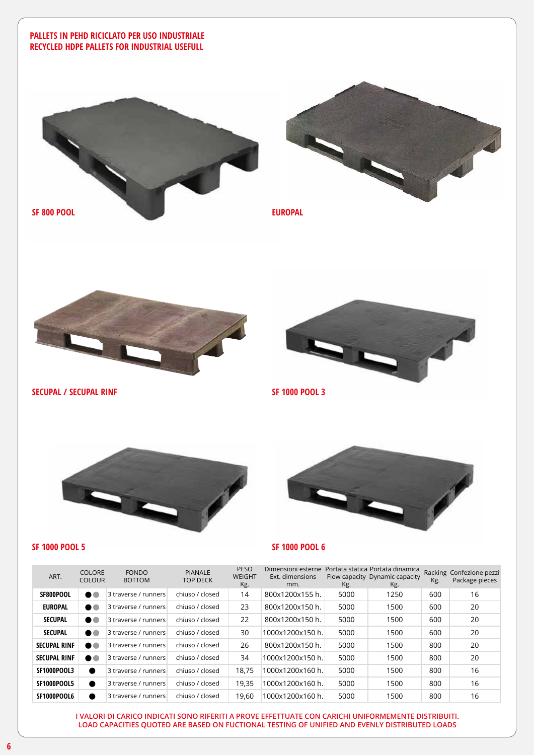# **PALLETS IN PEHD RICICLATO PER USO INDUSTRIALE RECYCLED HDPE PALLETS FOR INDUSTRIAL USEFULL**







**SECUPAL / SECUPAL RINF SF 1000 POOL 3**





**SF 1000 POOL 5 SF 1000 POOL 6**

| ART.                | <b>COLORE</b><br><b>COLOUR</b> | <b>FONDO</b><br><b>BOTTOM</b> | <b>PIANALE</b><br><b>TOP DECK</b> | <b>PESO</b><br><b>WEIGHT</b><br>Kg. | Dimensioni esterne<br>Ext. dimensions<br>mm. | Kg.  | Portata statica Portata dinamica<br>Flow capacity Dynamic capacity<br>Kg. | Kg. | Racking Confezione pezzi<br>Package pieces |
|---------------------|--------------------------------|-------------------------------|-----------------------------------|-------------------------------------|----------------------------------------------|------|---------------------------------------------------------------------------|-----|--------------------------------------------|
| SF800POOL           | $\bullet$ $\bullet$            | 3 traverse / runners          | chiuso / closed                   | 14                                  | 800x1200x155 h.                              | 5000 | 1250                                                                      | 600 | 16                                         |
| <b>EUROPAL</b>      | ∙∙                             | 3 traverse / runners          | chiuso / closed                   | 23                                  | 800x1200x150 h.                              | 5000 | 1500                                                                      | 600 | 20                                         |
| <b>SECUPAL</b>      | ∙∙                             | 3 traverse / runners          | chiuso / closed                   | 22                                  | 800x1200x150 h.                              | 5000 | 1500                                                                      | 600 | 20                                         |
| <b>SECUPAL</b>      | ∙                              | 3 traverse / runners          | chiuso / closed                   | 30                                  | 1000x1200x150 h.                             | 5000 | 1500                                                                      | 600 | 20                                         |
| <b>SECUPAL RINF</b> | ∙∙                             | 3 traverse / runners          | chiuso / closed                   | 26                                  | 800x1200x150 h.                              | 5000 | 1500                                                                      | 800 | 20                                         |
| <b>SECUPAL RINF</b> | $\bullet\bullet$               | 3 traverse / runners          | chiuso / closed                   | 34                                  | 1000x1200x150 h.                             | 5000 | 1500                                                                      | 800 | 20                                         |
| <b>SF1000POOL3</b>  | $\bullet$                      | 3 traverse / runners          | chiuso / closed                   | 18.75                               | 1000x1200x160 h.                             | 5000 | 1500                                                                      | 800 | 16                                         |
| SF1000POOL5         | $\bullet$                      | 3 traverse / runners          | chiuso / closed                   | 19,35                               | 1000x1200x160 h.                             | 5000 | 1500                                                                      | 800 | 16                                         |
| SF1000POOL6         |                                | 3 traverse / runners          | chiuso / closed                   | 19,60                               | 1000x1200x160 h.                             | 5000 | 1500                                                                      | 800 | 16                                         |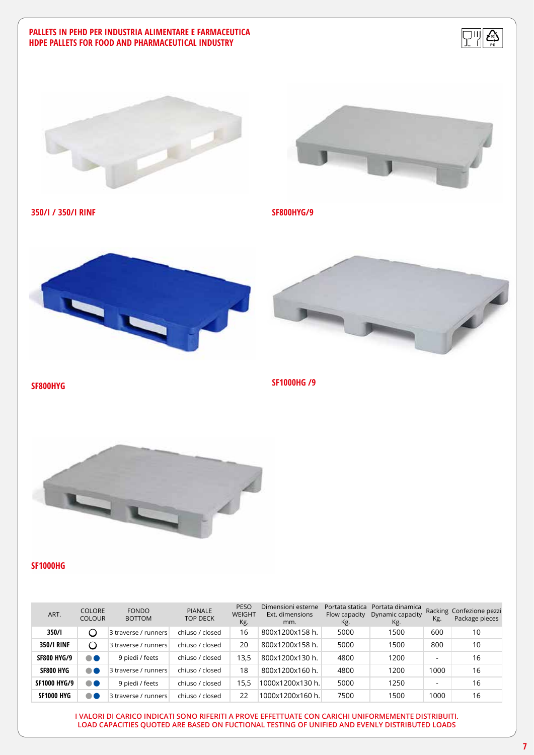